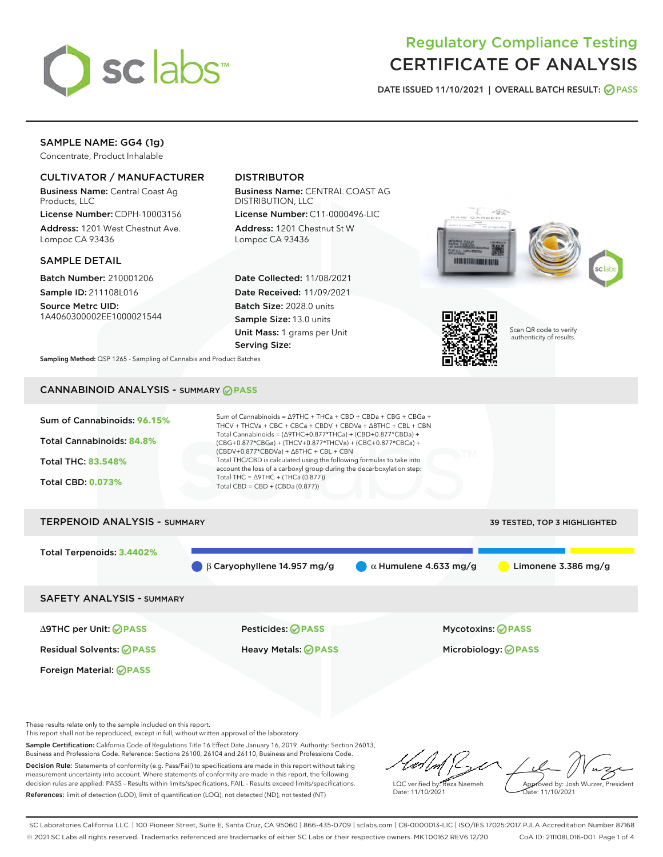

# Regulatory Compliance Testing CERTIFICATE OF ANALYSIS

DATE ISSUED 11/10/2021 | OVERALL BATCH RESULT: @ PASS

## SAMPLE NAME: GG4 (1g)

Concentrate, Product Inhalable

## CULTIVATOR / MANUFACTURER

Business Name: Central Coast Ag Products, LLC

License Number: CDPH-10003156 Address: 1201 West Chestnut Ave. Lompoc CA 93436

#### SAMPLE DETAIL

Batch Number: 210001206 Sample ID: 211108L016

Source Metrc UID: 1A4060300002EE1000021544

## DISTRIBUTOR

Business Name: CENTRAL COAST AG DISTRIBUTION, LLC

License Number: C11-0000496-LIC Address: 1201 Chestnut St W Lompoc CA 93436

Date Collected: 11/08/2021 Date Received: 11/09/2021 Batch Size: 2028.0 units Sample Size: 13.0 units Unit Mass: 1 grams per Unit Serving Size:







Scan QR code to verify authenticity of results.

Sampling Method: QSP 1265 - Sampling of Cannabis and Product Batches

# CANNABINOID ANALYSIS - SUMMARY **PASS**



These results relate only to the sample included on this report.

This report shall not be reproduced, except in full, without written approval of the laboratory.

Sample Certification: California Code of Regulations Title 16 Effect Date January 16, 2019. Authority: Section 26013, Business and Professions Code. Reference: Sections 26100, 26104 and 26110, Business and Professions Code. Decision Rule: Statements of conformity (e.g. Pass/Fail) to specifications are made in this report without taking measurement uncertainty into account. Where statements of conformity are made in this report, the following

decision rules are applied: PASS – Results within limits/specifications, FAIL – Results exceed limits/specifications. References: limit of detection (LOD), limit of quantification (LOQ), not detected (ND), not tested (NT)

LQC verified by: Reza Naemeh Date: 11/10/2021 Approved by: Josh Wurzer, President Date: 11/10/2021

SC Laboratories California LLC. | 100 Pioneer Street, Suite E, Santa Cruz, CA 95060 | 866-435-0709 | sclabs.com | C8-0000013-LIC | ISO/IES 17025:2017 PJLA Accreditation Number 87168 © 2021 SC Labs all rights reserved. Trademarks referenced are trademarks of either SC Labs or their respective owners. MKT00162 REV6 12/20 CoA ID: 211108L016-001 Page 1 of 4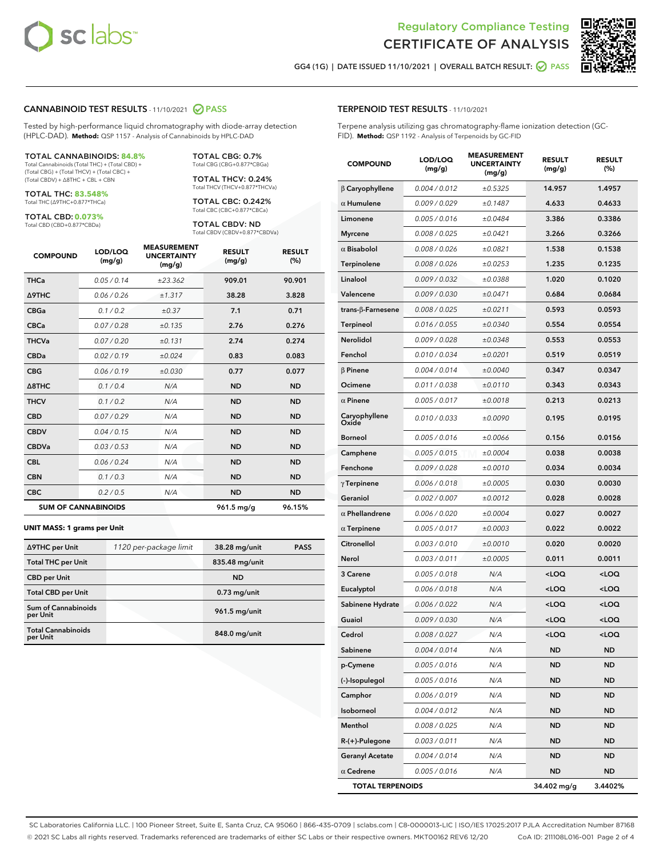



GG4 (1G) | DATE ISSUED 11/10/2021 | OVERALL BATCH RESULT: 2 PASS

#### CANNABINOID TEST RESULTS - 11/10/2021 2 PASS

Tested by high-performance liquid chromatography with diode-array detection (HPLC-DAD). **Method:** QSP 1157 - Analysis of Cannabinoids by HPLC-DAD

#### TOTAL CANNABINOIDS: **84.8%**

Total Cannabinoids (Total THC) + (Total CBD) + (Total CBG) + (Total THCV) + (Total CBC) + (Total CBDV) + ∆8THC + CBL + CBN

TOTAL THC: **83.548%** Total THC (∆9THC+0.877\*THCa)

TOTAL CBD: **0.073%**

Total CBD (CBD+0.877\*CBDa)

TOTAL CBG: 0.7% Total CBG (CBG+0.877\*CBGa)

TOTAL THCV: 0.24% Total THCV (THCV+0.877\*THCVa)

TOTAL CBC: 0.242% Total CBC (CBC+0.877\*CBCa)

TOTAL CBDV: ND Total CBDV (CBDV+0.877\*CBDVa)

| <b>COMPOUND</b>  | LOD/LOQ<br>(mg/g)          | <b>MEASUREMENT</b><br><b>UNCERTAINTY</b><br>(mg/g) | <b>RESULT</b><br>(mg/g) | <b>RESULT</b><br>(%) |
|------------------|----------------------------|----------------------------------------------------|-------------------------|----------------------|
| <b>THCa</b>      | 0.05 / 0.14                | ±23.362                                            | 909.01                  | 90.901               |
| <b>A9THC</b>     | 0.06 / 0.26                | ±1.317                                             | 38.28                   | 3.828                |
| <b>CBGa</b>      | 0.1/0.2                    | $\pm 0.37$                                         | 7.1                     | 0.71                 |
| <b>CBCa</b>      | 0.07/0.28                  | ±0.135                                             | 2.76                    | 0.276                |
| <b>THCVa</b>     | 0.07/0.20                  | ±0.131                                             | 2.74                    | 0.274                |
| <b>CBDa</b>      | 0.02/0.19                  | ±0.024                                             | 0.83                    | 0.083                |
| <b>CBG</b>       | 0.06/0.19                  | ±0.030                                             | 0.77                    | 0.077                |
| $\triangle$ 8THC | 0.1/0.4                    | N/A                                                | <b>ND</b>               | <b>ND</b>            |
| <b>THCV</b>      | 0.1/0.2                    | N/A                                                | <b>ND</b>               | <b>ND</b>            |
| <b>CBD</b>       | 0.07/0.29                  | N/A                                                | <b>ND</b>               | <b>ND</b>            |
| <b>CBDV</b>      | 0.04 / 0.15                | N/A                                                | <b>ND</b>               | <b>ND</b>            |
| <b>CBDVa</b>     | 0.03 / 0.53                | N/A                                                | <b>ND</b>               | <b>ND</b>            |
| <b>CBL</b>       | 0.06 / 0.24                | N/A                                                | <b>ND</b>               | <b>ND</b>            |
| <b>CBN</b>       | 0.1 / 0.3                  | N/A                                                | <b>ND</b>               | <b>ND</b>            |
| <b>CBC</b>       | 0.2 / 0.5                  | N/A                                                | <b>ND</b>               | <b>ND</b>            |
|                  | <b>SUM OF CANNABINOIDS</b> |                                                    | 961.5 mg/g              | 96.15%               |

#### **UNIT MASS: 1 grams per Unit**

| ∆9THC per Unit                        | 1120 per-package limit | 38.28 mg/unit  | <b>PASS</b> |
|---------------------------------------|------------------------|----------------|-------------|
| <b>Total THC per Unit</b>             |                        | 835.48 mg/unit |             |
| <b>CBD per Unit</b>                   |                        | <b>ND</b>      |             |
| <b>Total CBD per Unit</b>             |                        | $0.73$ mg/unit |             |
| Sum of Cannabinoids<br>per Unit       |                        | 961.5 mg/unit  |             |
| <b>Total Cannabinoids</b><br>per Unit |                        | 848.0 mg/unit  |             |

| <b>COMPOUND</b>         | LOD/LOQ<br>(mg/g) | <b>MEASUREMENT</b><br><b>UNCERTAINTY</b><br>(mg/g) | <b>RESULT</b><br>(mg/g)                         | <b>RESULT</b><br>(%) |
|-------------------------|-------------------|----------------------------------------------------|-------------------------------------------------|----------------------|
| $\beta$ Caryophyllene   | 0.004 / 0.012     | ±0.5325                                            | 14.957                                          | 1.4957               |
| $\alpha$ Humulene       | 0.009 / 0.029     | ±0.1487                                            | 4.633                                           | 0.4633               |
| Limonene                | 0.005 / 0.016     | ±0.0484                                            | 3.386                                           | 0.3386               |
| <b>Myrcene</b>          | 0.008 / 0.025     | ±0.0421                                            | 3.266                                           | 0.3266               |
| $\alpha$ Bisabolol      | 0.008 / 0.026     | ±0.0821                                            | 1.538                                           | 0.1538               |
| Terpinolene             | 0.008 / 0.026     | ±0.0253                                            | 1.235                                           | 0.1235               |
| Linalool                | 0.009 / 0.032     | ±0.0388                                            | 1.020                                           | 0.1020               |
| Valencene               | 0.009 / 0.030     | ±0.0471                                            | 0.684                                           | 0.0684               |
| trans-β-Farnesene       | 0.008 / 0.025     | ±0.0211                                            | 0.593                                           | 0.0593               |
| <b>Terpineol</b>        | 0.016 / 0.055     | ±0.0340                                            | 0.554                                           | 0.0554               |
| Nerolidol               | 0.009 / 0.028     | ±0.0348                                            | 0.553                                           | 0.0553               |
| Fenchol                 | 0.010 / 0.034     | ±0.0201                                            | 0.519                                           | 0.0519               |
| $\beta$ Pinene          | 0.004 / 0.014     | ±0.0040                                            | 0.347                                           | 0.0347               |
| Ocimene                 | 0.011 / 0.038     | ±0.0110                                            | 0.343                                           | 0.0343               |
| $\alpha$ Pinene         | 0.005 / 0.017     | ±0.0018                                            | 0.213                                           | 0.0213               |
| Caryophyllene<br>Oxide  | 0.010 / 0.033     | ±0.0090                                            | 0.195                                           | 0.0195               |
| <b>Borneol</b>          | 0.005 / 0.016     | ±0.0066                                            | 0.156                                           | 0.0156               |
| Camphene                | 0.005 / 0.015     | ±0.0004                                            | 0.038                                           | 0.0038               |
| Fenchone                | 0.009 / 0.028     | ±0.0010                                            | 0.034                                           | 0.0034               |
| $\gamma$ Terpinene      | 0.006 / 0.018     | ±0.0005                                            | 0.030                                           | 0.0030               |
| Geraniol                | 0.002 / 0.007     | ±0.0012                                            | 0.028                                           | 0.0028               |
| $\alpha$ Phellandrene   | 0.006 / 0.020     | ±0.0004                                            | 0.027                                           | 0.0027               |
| $\alpha$ Terpinene      | 0.005 / 0.017     | ±0.0003                                            | 0.022                                           | 0.0022               |
| Citronellol             | 0.003 / 0.010     | ±0.0010                                            | 0.020                                           | 0.0020               |
| Nerol                   | 0.003 / 0.011     | ±0.0005                                            | 0.011                                           | 0.0011               |
| 3 Carene                | 0.005 / 0.018     | N/A                                                | <loq< th=""><th><loq< th=""></loq<></th></loq<> | <loq< th=""></loq<>  |
| Eucalyptol              | 0.006 / 0.018     | N/A                                                | <loq< th=""><th><loq< th=""></loq<></th></loq<> | <loq< th=""></loq<>  |
| Sabinene Hydrate        | 0.006 / 0.022     | N/A                                                | <loq< th=""><th><loq< th=""></loq<></th></loq<> | <loq< th=""></loq<>  |
| Guaiol                  | 0.009 / 0.030     | N/A                                                | <loq< th=""><th><loq< th=""></loq<></th></loq<> | <loq< th=""></loq<>  |
| Cedrol                  | 0.008 / 0.027     | N/A                                                | $\leq$ 00                                       | $\sim$ 0.0           |
| Sabinene                | 0.004 / 0.014     | N/A                                                | ND                                              | ND                   |
| p-Cymene                | 0.005 / 0.016     | N/A                                                | <b>ND</b>                                       | ND                   |
| (-)-Isopulegol          | 0.005 / 0.016     | N/A                                                | ND                                              | ND                   |
| Camphor                 | 0.006 / 0.019     | N/A                                                | ND                                              | ND                   |
| Isoborneol              | 0.004 / 0.012     | N/A                                                | ND                                              | ND                   |
| Menthol                 | 0.008 / 0.025     | N/A                                                | ND                                              | ND                   |
| R-(+)-Pulegone          | 0.003 / 0.011     | N/A                                                | ND                                              | ND                   |
| <b>Geranyl Acetate</b>  | 0.004 / 0.014     | N/A                                                | ND                                              | ND                   |
| $\alpha$ Cedrene        | 0.005 / 0.016     | N/A                                                | <b>ND</b>                                       | ND                   |
| <b>TOTAL TERPENOIDS</b> |                   |                                                    | 34.402 mg/g                                     | 3.4402%              |

SC Laboratories California LLC. | 100 Pioneer Street, Suite E, Santa Cruz, CA 95060 | 866-435-0709 | sclabs.com | C8-0000013-LIC | ISO/IES 17025:2017 PJLA Accreditation Number 87168 © 2021 SC Labs all rights reserved. Trademarks referenced are trademarks of either SC Labs or their respective owners. MKT00162 REV6 12/20 CoA ID: 211108L016-001 Page 2 of 4

## TERPENOID TEST RESULTS - 11/10/2021

Terpene analysis utilizing gas chromatography-flame ionization detection (GC-FID). **Method:** QSP 1192 - Analysis of Terpenoids by GC-FID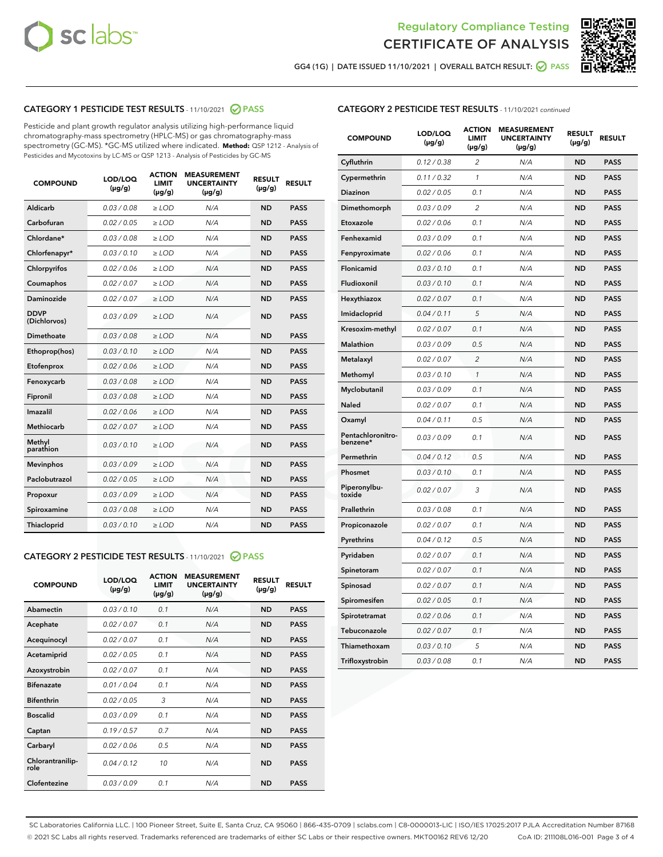



GG4 (1G) | DATE ISSUED 11/10/2021 | OVERALL BATCH RESULT: 2 PASS

#### CATEGORY 1 PESTICIDE TEST RESULTS - 11/10/2021 @ PASS

Pesticide and plant growth regulator analysis utilizing high-performance liquid chromatography-mass spectrometry (HPLC-MS) or gas chromatography-mass spectrometry (GC-MS). \*GC-MS utilized where indicated. **Method:** QSP 1212 - Analysis of Pesticides and Mycotoxins by LC-MS or QSP 1213 - Analysis of Pesticides by GC-MS

| <b>COMPOUND</b>             | LOD/LOQ<br>$(\mu g/g)$ | <b>ACTION</b><br><b>LIMIT</b><br>$(\mu g/g)$ | <b>MEASUREMENT</b><br><b>UNCERTAINTY</b><br>$(\mu g/g)$ | <b>RESULT</b><br>$(\mu g/g)$ | <b>RESULT</b> |
|-----------------------------|------------------------|----------------------------------------------|---------------------------------------------------------|------------------------------|---------------|
| Aldicarb                    | 0.03 / 0.08            | $\ge$ LOD                                    | N/A                                                     | <b>ND</b>                    | <b>PASS</b>   |
| Carbofuran                  | 0.02 / 0.05            | $\geq$ LOD                                   | N/A                                                     | <b>ND</b>                    | <b>PASS</b>   |
| Chlordane*                  | 0.03 / 0.08            | $\ge$ LOD                                    | N/A                                                     | <b>ND</b>                    | <b>PASS</b>   |
| Chlorfenapyr*               | 0.03/0.10              | $\ge$ LOD                                    | N/A                                                     | <b>ND</b>                    | <b>PASS</b>   |
| Chlorpyrifos                | 0.02 / 0.06            | $\geq$ LOD                                   | N/A                                                     | <b>ND</b>                    | <b>PASS</b>   |
| Coumaphos                   | 0.02 / 0.07            | $\ge$ LOD                                    | N/A                                                     | <b>ND</b>                    | <b>PASS</b>   |
| Daminozide                  | 0.02 / 0.07            | $\ge$ LOD                                    | N/A                                                     | <b>ND</b>                    | <b>PASS</b>   |
| <b>DDVP</b><br>(Dichlorvos) | 0.03/0.09              | $>$ LOD                                      | N/A                                                     | <b>ND</b>                    | <b>PASS</b>   |
| Dimethoate                  | 0.03/0.08              | $\ge$ LOD                                    | N/A                                                     | <b>ND</b>                    | <b>PASS</b>   |
| Ethoprop(hos)               | 0.03 / 0.10            | $>$ LOD                                      | N/A                                                     | <b>ND</b>                    | <b>PASS</b>   |
| Etofenprox                  | 0.02 / 0.06            | $\ge$ LOD                                    | N/A                                                     | <b>ND</b>                    | <b>PASS</b>   |
| Fenoxycarb                  | 0.03/0.08              | $\ge$ LOD                                    | N/A                                                     | <b>ND</b>                    | <b>PASS</b>   |
| Fipronil                    | 0.03/0.08              | $\ge$ LOD                                    | N/A                                                     | <b>ND</b>                    | <b>PASS</b>   |
| Imazalil                    | 0.02 / 0.06            | $>$ LOD                                      | N/A                                                     | <b>ND</b>                    | <b>PASS</b>   |
| <b>Methiocarb</b>           | 0.02 / 0.07            | $\ge$ LOD                                    | N/A                                                     | <b>ND</b>                    | <b>PASS</b>   |
| Methyl<br>parathion         | 0.03/0.10              | $\ge$ LOD                                    | N/A                                                     | <b>ND</b>                    | <b>PASS</b>   |
| <b>Mevinphos</b>            | 0.03/0.09              | $\ge$ LOD                                    | N/A                                                     | <b>ND</b>                    | <b>PASS</b>   |
| Paclobutrazol               | 0.02 / 0.05            | $>$ LOD                                      | N/A                                                     | <b>ND</b>                    | <b>PASS</b>   |
| Propoxur                    | 0.03/0.09              | $\ge$ LOD                                    | N/A                                                     | <b>ND</b>                    | <b>PASS</b>   |
| Spiroxamine                 | 0.03 / 0.08            | $\ge$ LOD                                    | N/A                                                     | <b>ND</b>                    | <b>PASS</b>   |
| Thiacloprid                 | 0.03/0.10              | $\ge$ LOD                                    | N/A                                                     | <b>ND</b>                    | <b>PASS</b>   |

### CATEGORY 2 PESTICIDE TEST RESULTS - 11/10/2021 @ PASS

| <b>COMPOUND</b>          | LOD/LOQ<br>$(\mu g/g)$ | <b>ACTION</b><br><b>LIMIT</b><br>$(\mu g/g)$ | <b>MEASUREMENT</b><br><b>UNCERTAINTY</b><br>$(\mu g/g)$ | <b>RESULT</b><br>$(\mu g/g)$ | <b>RESULT</b> |
|--------------------------|------------------------|----------------------------------------------|---------------------------------------------------------|------------------------------|---------------|
| Abamectin                | 0.03/0.10              | 0.1                                          | N/A                                                     | <b>ND</b>                    | <b>PASS</b>   |
| Acephate                 | 0.02/0.07              | 0.1                                          | N/A                                                     | <b>ND</b>                    | <b>PASS</b>   |
| Acequinocyl              | 0.02/0.07              | 0.1                                          | N/A                                                     | <b>ND</b>                    | <b>PASS</b>   |
| Acetamiprid              | 0.02/0.05              | 0.1                                          | N/A                                                     | <b>ND</b>                    | <b>PASS</b>   |
| Azoxystrobin             | 0 02 / 0 07            | 0.1                                          | N/A                                                     | <b>ND</b>                    | <b>PASS</b>   |
| <b>Bifenazate</b>        | 0.01/0.04              | 0.1                                          | N/A                                                     | <b>ND</b>                    | <b>PASS</b>   |
| <b>Bifenthrin</b>        | 0.02/0.05              | 3                                            | N/A                                                     | <b>ND</b>                    | <b>PASS</b>   |
| <b>Boscalid</b>          | 0.03/0.09              | 0.1                                          | N/A                                                     | <b>ND</b>                    | <b>PASS</b>   |
| Captan                   | 0.19/0.57              | 0.7                                          | N/A                                                     | <b>ND</b>                    | <b>PASS</b>   |
| Carbaryl                 | 0.02/0.06              | 0.5                                          | N/A                                                     | <b>ND</b>                    | <b>PASS</b>   |
| Chlorantranilip-<br>role | 0.04/0.12              | 10                                           | N/A                                                     | <b>ND</b>                    | <b>PASS</b>   |
| Clofentezine             | 0.03/0.09              | 0.1                                          | N/A                                                     | <b>ND</b>                    | <b>PASS</b>   |

### CATEGORY 2 PESTICIDE TEST RESULTS - 11/10/2021 continued

| <b>COMPOUND</b>               | LOD/LOQ<br>(µg/g) | <b>ACTION</b><br>LIMIT<br>$(\mu g/g)$ | <b>MEASUREMENT</b><br><b>UNCERTAINTY</b><br>(µg/g) | <b>RESULT</b><br>(µg/g) | <b>RESULT</b> |
|-------------------------------|-------------------|---------------------------------------|----------------------------------------------------|-------------------------|---------------|
| Cyfluthrin                    | 0.12 / 0.38       | 2                                     | N/A                                                | ND                      | <b>PASS</b>   |
| Cypermethrin                  | 0.11 / 0.32       | 1                                     | N/A                                                | ND                      | PASS          |
| Diazinon                      | 0.02 / 0.05       | 0.1                                   | N/A                                                | ND                      | PASS          |
| Dimethomorph                  | 0.03 / 0.09       | $\overline{2}$                        | N/A                                                | <b>ND</b>               | <b>PASS</b>   |
| Etoxazole                     | 0.02 / 0.06       | 0.1                                   | N/A                                                | ND                      | <b>PASS</b>   |
| Fenhexamid                    | 0.03 / 0.09       | 0.1                                   | N/A                                                | ND                      | <b>PASS</b>   |
| Fenpyroximate                 | 0.02 / 0.06       | 0.1                                   | N/A                                                | <b>ND</b>               | <b>PASS</b>   |
| Flonicamid                    | 0.03 / 0.10       | 0.1                                   | N/A                                                | <b>ND</b>               | <b>PASS</b>   |
| Fludioxonil                   | 0.03 / 0.10       | 0.1                                   | N/A                                                | <b>ND</b>               | <b>PASS</b>   |
| Hexythiazox                   | 0.02 / 0.07       | 0.1                                   | N/A                                                | <b>ND</b>               | PASS          |
| Imidacloprid                  | 0.04 / 0.11       | 5                                     | N/A                                                | <b>ND</b>               | <b>PASS</b>   |
| Kresoxim-methyl               | 0.02 / 0.07       | 0.1                                   | N/A                                                | ND                      | <b>PASS</b>   |
| Malathion                     | 0.03 / 0.09       | 0.5                                   | N/A                                                | <b>ND</b>               | <b>PASS</b>   |
| Metalaxyl                     | 0.02 / 0.07       | $\overline{c}$                        | N/A                                                | <b>ND</b>               | <b>PASS</b>   |
| Methomyl                      | 0.03 / 0.10       | 1                                     | N/A                                                | ND                      | <b>PASS</b>   |
| Myclobutanil                  | 0.03/0.09         | 0.1                                   | N/A                                                | <b>ND</b>               | <b>PASS</b>   |
| Naled                         | 0.02 / 0.07       | 0.1                                   | N/A                                                | ND                      | <b>PASS</b>   |
| Oxamyl                        | 0.04 / 0.11       | 0.5                                   | N/A                                                | ND                      | <b>PASS</b>   |
| Pentachloronitro-<br>benzene* | 0.03 / 0.09       | 0.1                                   | N/A                                                | ND                      | <b>PASS</b>   |
| Permethrin                    | 0.04/0.12         | 0.5                                   | N/A                                                | <b>ND</b>               | <b>PASS</b>   |
| Phosmet                       | 0.03 / 0.10       | 0.1                                   | N/A                                                | ND                      | PASS          |
| Piperonylbu-<br>toxide        | 0.02 / 0.07       | 3                                     | N/A                                                | <b>ND</b>               | <b>PASS</b>   |
| Prallethrin                   | 0.03 / 0.08       | 0.1                                   | N/A                                                | <b>ND</b>               | <b>PASS</b>   |
| Propiconazole                 | 0.02 / 0.07       | 0.1                                   | N/A                                                | ND                      | <b>PASS</b>   |
| Pyrethrins                    | 0.04 / 0.12       | 0.5                                   | N/A                                                | ND                      | PASS          |
| Pyridaben                     | 0.02 / 0.07       | 0.1                                   | N/A                                                | <b>ND</b>               | <b>PASS</b>   |
| Spinetoram                    | 0.02 / 0.07       | 0.1                                   | N/A                                                | ND                      | <b>PASS</b>   |
| Spinosad                      | 0.02 / 0.07       | 0.1                                   | N/A                                                | ND                      | PASS          |
| Spiromesifen                  | 0.02 / 0.05       | 0.1                                   | N/A                                                | <b>ND</b>               | <b>PASS</b>   |
| Spirotetramat                 | 0.02 / 0.06       | 0.1                                   | N/A                                                | ND                      | <b>PASS</b>   |
| Tebuconazole                  | 0.02 / 0.07       | 0.1                                   | N/A                                                | ND                      | <b>PASS</b>   |
| Thiamethoxam                  | 0.03 / 0.10       | 5                                     | N/A                                                | <b>ND</b>               | <b>PASS</b>   |
| Trifloxystrobin               | 0.03 / 0.08       | 0.1                                   | N/A                                                | <b>ND</b>               | <b>PASS</b>   |

SC Laboratories California LLC. | 100 Pioneer Street, Suite E, Santa Cruz, CA 95060 | 866-435-0709 | sclabs.com | C8-0000013-LIC | ISO/IES 17025:2017 PJLA Accreditation Number 87168 © 2021 SC Labs all rights reserved. Trademarks referenced are trademarks of either SC Labs or their respective owners. MKT00162 REV6 12/20 CoA ID: 211108L016-001 Page 3 of 4